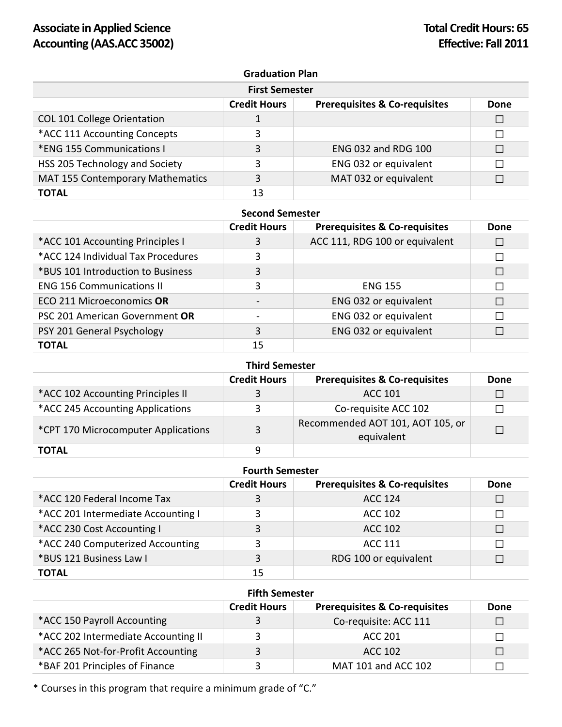## **Graduation Plan**

| <b>First Semester</b>                   |                     |                                          |      |
|-----------------------------------------|---------------------|------------------------------------------|------|
|                                         | <b>Credit Hours</b> | <b>Prerequisites &amp; Co-requisites</b> | Done |
| <b>COL 101 College Orientation</b>      |                     |                                          | □    |
| *ACC 111 Accounting Concepts            | 3                   |                                          | П    |
| *ENG 155 Communications I               | 3                   | ENG 032 and RDG 100                      |      |
| HSS 205 Technology and Society          | 3                   | ENG 032 or equivalent                    |      |
| <b>MAT 155 Contemporary Mathematics</b> | 3                   | MAT 032 or equivalent                    |      |
| TOTAL                                   | 13                  |                                          |      |

### **Second Semester**

|                                    | <b>Credit Hours</b> | <b>Prerequisites &amp; Co-requisites</b> | Done |
|------------------------------------|---------------------|------------------------------------------|------|
| *ACC 101 Accounting Principles I   | 3                   | ACC 111, RDG 100 or equivalent           |      |
| *ACC 124 Individual Tax Procedures | 3                   |                                          | П    |
| *BUS 101 Introduction to Business  | 3                   |                                          | П    |
| <b>ENG 156 Communications II</b>   | 3                   | <b>ENG 155</b>                           | П    |
| ECO 211 Microeconomics OR          |                     | ENG 032 or equivalent                    | П    |
| PSC 201 American Government OR     |                     | ENG 032 or equivalent                    | П    |
| PSY 201 General Psychology         | 3                   | ENG 032 or equivalent                    |      |
| <b>TOTAL</b>                       | 15                  |                                          |      |

| <b>Third Semester</b>               |                     |                                                |             |
|-------------------------------------|---------------------|------------------------------------------------|-------------|
|                                     | <b>Credit Hours</b> | <b>Prerequisites &amp; Co-requisites</b>       | <b>Done</b> |
| *ACC 102 Accounting Principles II   | 3                   | ACC 101                                        |             |
| *ACC 245 Accounting Applications    | 3                   | Co-requisite ACC 102                           |             |
| *CPT 170 Microcomputer Applications | 3                   | Recommended AOT 101, AOT 105, or<br>equivalent |             |
| <b>TOTAL</b>                        | q                   |                                                |             |

#### **Fourth Semester**

|                                    | <b>Credit Hours</b> | <b>Prerequisites &amp; Co-requisites</b> | <b>Done</b> |
|------------------------------------|---------------------|------------------------------------------|-------------|
| *ACC 120 Federal Income Tax        | 3                   | <b>ACC 124</b>                           | $\Box$      |
| *ACC 201 Intermediate Accounting I | 3                   | ACC 102                                  |             |
| *ACC 230 Cost Accounting I         | 3                   | ACC 102                                  | П           |
| *ACC 240 Computerized Accounting   | 3                   | <b>ACC 111</b>                           | П           |
| *BUS 121 Business Law I            | 3                   | RDG 100 or equivalent                    |             |
| <b>TOTAL</b>                       | 15                  |                                          |             |

#### **Fifth Semester**

|                                     | <b>Credit Hours</b> | <b>Prerequisites &amp; Co-requisites</b> | Done |
|-------------------------------------|---------------------|------------------------------------------|------|
| *ACC 150 Payroll Accounting         |                     | Co-requisite: ACC 111                    |      |
| *ACC 202 Intermediate Accounting II | ર                   | ACC 201                                  |      |
| *ACC 265 Not-for-Profit Accounting  | $\mathbf{R}$        | ACC 102                                  |      |
| *BAF 201 Principles of Finance      | ₹                   | MAT 101 and ACC 102                      |      |

\* Courses in this program that require a minimum grade of "C."